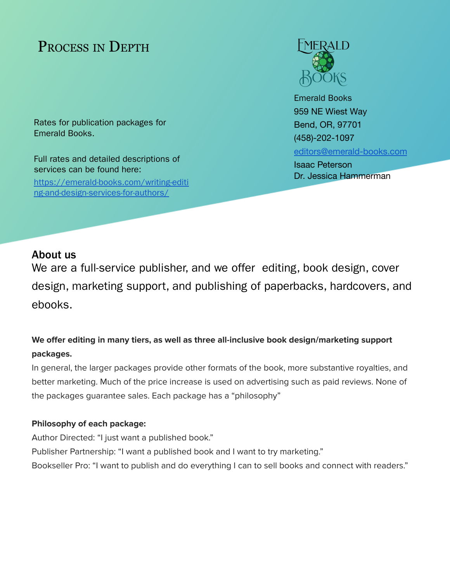# PROCESS IN DEPTH

Rates for publication packages for Emerald Books.

Full rates and detailed descriptions of services can be found here:

[https://emerald-books.com/writing-editi](https://emerald-books.com/writing-editing-and-design-services-for-authors/) [ng-and-design-services-for-authors/](https://emerald-books.com/writing-editing-and-design-services-for-authors/)



Emerald Books 959 NE Wiest Way Bend, OR, 97701 (458)-202-1097 [editors@emerald-books.com](mailto:editors@emerald-books.com) Isaac Peterson

Dr. Jessica Hammerman

# About us

We are a full-service publisher, and we offer editing, book design, cover design, marketing support, and publishing of paperbacks, hardcovers, and ebooks.

# **We offer editing in many tiers, as well as three all-inclusive book design/marketing support packages.**

In general, the larger packages provide other formats of the book, more substantive royalties, and better marketing. Much of the price increase is used on advertising such as paid reviews. None of the packages guarantee sales. Each package has a "philosophy"

# **Philosophy of each package:**

Author Directed: "I just want a published book." Publisher Partnership: "I want a published book and I want to try marketing." Bookseller Pro: "I want to publish and do everything I can to sell books and connect with readers."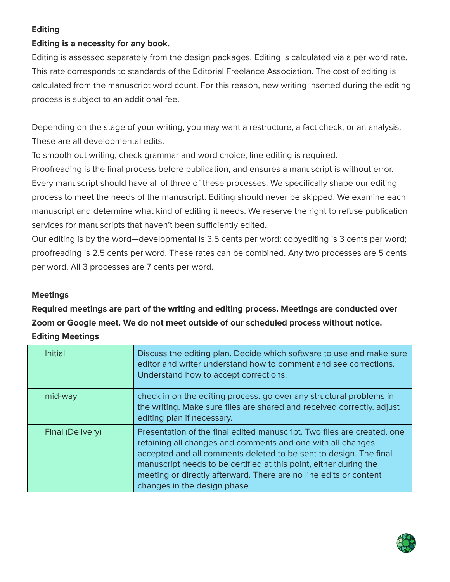# **Editing**

# **Editing is a necessity for any book.**

Editing is assessed separately from the design packages. Editing is calculated via a per word rate. This rate corresponds to standards of the Editorial Freelance Association. The cost of editing is calculated from the manuscript word count. For this reason, new writing inserted during the editing process is subject to an additional fee.

Depending on the stage of your writing, you may want a restructure, a fact check, or an analysis. These are all developmental edits.

To smooth out writing, check grammar and word choice, line editing is required.

Proofreading is the final process before publication, and ensures a manuscript is without error. Every manuscript should have all of three of these processes. We specifically shape our editing process to meet the needs of the manuscript. Editing should never be skipped. We examine each manuscript and determine what kind of editing it needs. We reserve the right to refuse publication services for manuscripts that haven't been sufficiently edited.

Our editing is by the word—developmental is 3.5 cents per word; copyediting is 3 cents per word; proofreading is 2.5 cents per word. These rates can be combined. Any two processes are 5 cents per word. All 3 processes are 7 cents per word.

# **Meetings**

**Required meetings are part of the writing and editing process. Meetings are conducted over Zoom or Google meet. We do not meet outside of our scheduled process without notice. Editing Meetings**

| <b>Initial</b>   | Discuss the editing plan. Decide which software to use and make sure<br>editor and writer understand how to comment and see corrections.<br>Understand how to accept corrections.                                                                                                                                                                                                     |
|------------------|---------------------------------------------------------------------------------------------------------------------------------------------------------------------------------------------------------------------------------------------------------------------------------------------------------------------------------------------------------------------------------------|
| mid-way          | check in on the editing process, go over any structural problems in<br>the writing. Make sure files are shared and received correctly. adjust<br>editing plan if necessary.                                                                                                                                                                                                           |
| Final (Delivery) | Presentation of the final edited manuscript. Two files are created, one<br>retaining all changes and comments and one with all changes<br>accepted and all comments deleted to be sent to design. The final<br>manuscript needs to be certified at this point, either during the<br>meeting or directly afterward. There are no line edits or content<br>changes in the design phase. |

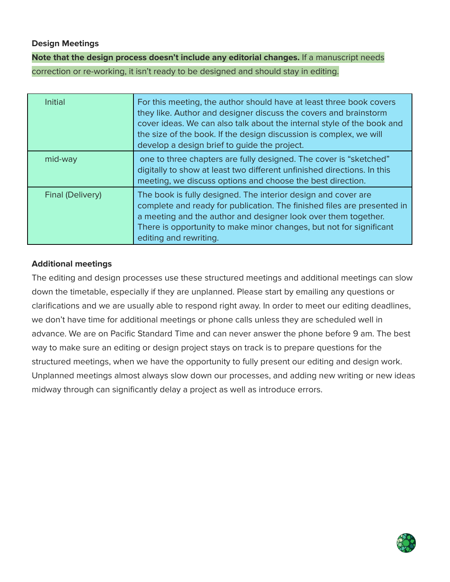# **Design Meetings**

**Note that the design process doesn't include any editorial changes.** If a manuscript needs correction or re-working, it isn't ready to be designed and should stay in editing.

| <b>Initial</b>   | For this meeting, the author should have at least three book covers<br>they like. Author and designer discuss the covers and brainstorm<br>cover ideas. We can also talk about the internal style of the book and<br>the size of the book. If the design discussion is complex, we will<br>develop a design brief to guide the project. |
|------------------|-----------------------------------------------------------------------------------------------------------------------------------------------------------------------------------------------------------------------------------------------------------------------------------------------------------------------------------------|
| mid-way          | one to three chapters are fully designed. The cover is "sketched"<br>digitally to show at least two different unfinished directions. In this<br>meeting, we discuss options and choose the best direction.                                                                                                                              |
| Final (Delivery) | The book is fully designed. The interior design and cover are<br>complete and ready for publication. The finished files are presented in<br>a meeting and the author and designer look over them together.<br>There is opportunity to make minor changes, but not for significant<br>editing and rewriting.                             |

# **Additional meetings**

The editing and design processes use these structured meetings and additional meetings can slow down the timetable, especially if they are unplanned. Please start by emailing any questions or clarifications and we are usually able to respond right away. In order to meet our editing deadlines, we don't have time for additional meetings or phone calls unless they are scheduled well in advance. We are on Pacific Standard Time and can never answer the phone before 9 am. The best way to make sure an editing or design project stays on track is to prepare questions for the structured meetings, when we have the opportunity to fully present our editing and design work. Unplanned meetings almost always slow down our processes, and adding new writing or new ideas midway through can significantly delay a project as well as introduce errors.

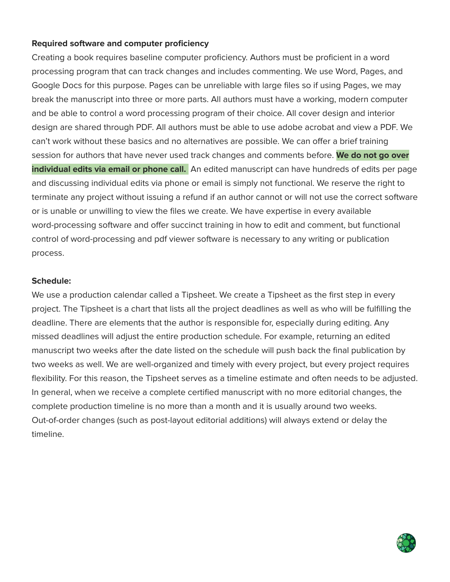# **Required software and computer proficiency**

Creating a book requires baseline computer proficiency. Authors must be proficient in a word processing program that can track changes and includes commenting. We use Word, Pages, and Google Docs for this purpose. Pages can be unreliable with large files so if using Pages, we may break the manuscript into three or more parts. All authors must have a working, modern computer and be able to control a word processing program of their choice. All cover design and interior design are shared through PDF. All authors must be able to use adobe acrobat and view a PDF. We can't work without these basics and no alternatives are possible. We can offer a brief training session for authors that have never used track changes and comments before. **We do not go over individual edits via email or phone call.** An edited manuscript can have hundreds of edits per page and discussing individual edits via phone or email is simply not functional. We reserve the right to terminate any project without issuing a refund if an author cannot or will not use the correct software or is unable or unwilling to view the files we create. We have expertise in every available word-processing software and offer succinct training in how to edit and comment, but functional control of word-processing and pdf viewer software is necessary to any writing or publication process.

## **Schedule:**

We use a production calendar called a Tipsheet. We create a Tipsheet as the first step in every project. The Tipsheet is a chart that lists all the project deadlines as well as who will be fulfilling the deadline. There are elements that the author is responsible for, especially during editing. Any missed deadlines will adjust the entire production schedule. For example, returning an edited manuscript two weeks after the date listed on the schedule will push back the final publication by two weeks as well. We are well-organized and timely with every project, but every project requires flexibility. For this reason, the Tipsheet serves as a timeline estimate and often needs to be adjusted. In general, when we receive a complete certified manuscript with no more editorial changes, the complete production timeline is no more than a month and it is usually around two weeks. Out-of-order changes (such as post-layout editorial additions) will always extend or delay the timeline.

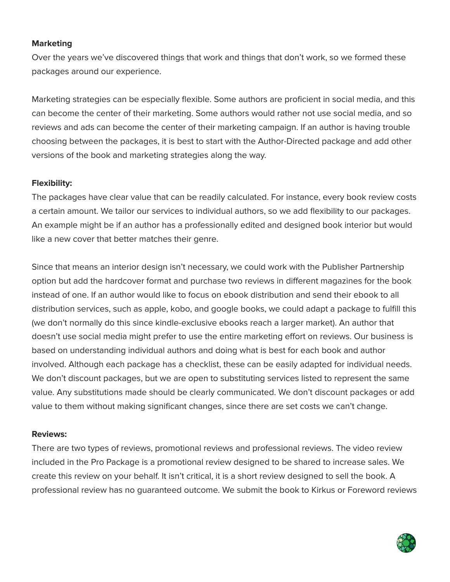### **Marketing**

Over the years we've discovered things that work and things that don't work, so we formed these packages around our experience.

Marketing strategies can be especially flexible. Some authors are proficient in social media, and this can become the center of their marketing. Some authors would rather not use social media, and so reviews and ads can become the center of their marketing campaign. If an author is having trouble choosing between the packages, it is best to start with the Author-Directed package and add other versions of the book and marketing strategies along the way.

## **Flexibility:**

The packages have clear value that can be readily calculated. For instance, every book review costs a certain amount. We tailor our services to individual authors, so we add flexibility to our packages. An example might be if an author has a professionally edited and designed book interior but would like a new cover that better matches their genre.

Since that means an interior design isn't necessary, we could work with the Publisher Partnership option but add the hardcover format and purchase two reviews in different magazines for the book instead of one. If an author would like to focus on ebook distribution and send their ebook to all distribution services, such as apple, kobo, and google books, we could adapt a package to fulfill this (we don't normally do this since kindle-exclusive ebooks reach a larger market). An author that doesn't use social media might prefer to use the entire marketing effort on reviews. Our business is based on understanding individual authors and doing what is best for each book and author involved. Although each package has a checklist, these can be easily adapted for individual needs. We don't discount packages, but we are open to substituting services listed to represent the same value. Any substitutions made should be clearly communicated. We don't discount packages or add value to them without making significant changes, since there are set costs we can't change.

#### **Reviews:**

There are two types of reviews, promotional reviews and professional reviews. The video review included in the Pro Package is a promotional review designed to be shared to increase sales. We create this review on your behalf. It isn't critical, it is a short review designed to sell the book. A professional review has no guaranteed outcome. We submit the book to Kirkus or Foreword reviews

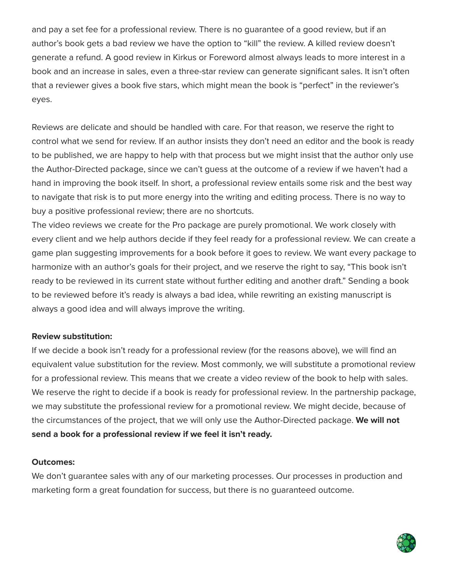and pay a set fee for a professional review. There is no guarantee of a good review, but if an author's book gets a bad review we have the option to "kill" the review. A killed review doesn't generate a refund. A good review in Kirkus or Foreword almost always leads to more interest in a book and an increase in sales, even a three-star review can generate significant sales. It isn't often that a reviewer gives a book five stars, which might mean the book is "perfect" in the reviewer's eyes.

Reviews are delicate and should be handled with care. For that reason, we reserve the right to control what we send for review. If an author insists they don't need an editor and the book is ready to be published, we are happy to help with that process but we might insist that the author only use the Author-Directed package, since we can't guess at the outcome of a review if we haven't had a hand in improving the book itself. In short, a professional review entails some risk and the best way to navigate that risk is to put more energy into the writing and editing process. There is no way to buy a positive professional review; there are no shortcuts.

The video reviews we create for the Pro package are purely promotional. We work closely with every client and we help authors decide if they feel ready for a professional review. We can create a game plan suggesting improvements for a book before it goes to review. We want every package to harmonize with an author's goals for their project, and we reserve the right to say, "This book isn't ready to be reviewed in its current state without further editing and another draft." Sending a book to be reviewed before it's ready is always a bad idea, while rewriting an existing manuscript is always a good idea and will always improve the writing.

## **Review substitution:**

If we decide a book isn't ready for a professional review (for the reasons above), we will find an equivalent value substitution for the review. Most commonly, we will substitute a promotional review for a professional review. This means that we create a video review of the book to help with sales. We reserve the right to decide if a book is ready for professional review. In the partnership package, we may substitute the professional review for a promotional review. We might decide, because of the circumstances of the project, that we will only use the Author-Directed package. **We will not send a book for a professional review if we feel it isn't ready.**

#### **Outcomes:**

We don't guarantee sales with any of our marketing processes. Our processes in production and marketing form a great foundation for success, but there is no guaranteed outcome.

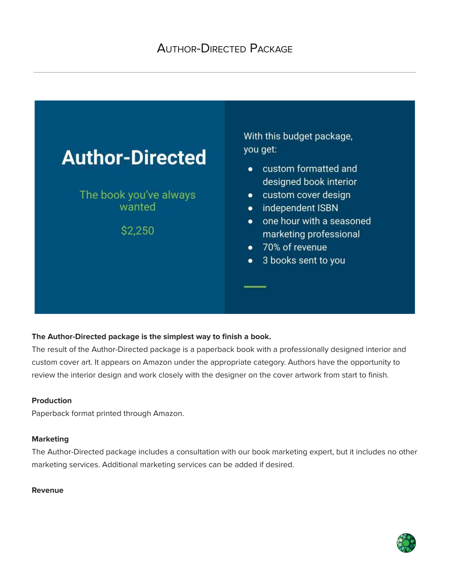

#### **The Author-Directed package is the simplest way to finish a book.**

The result of the Author-Directed package is a paperback book with a professionally designed interior and custom cover art. It appears on Amazon under the appropriate category. Authors have the opportunity to review the interior design and work closely with the designer on the cover artwork from start to finish.

#### **Production**

Paperback format printed through Amazon.

#### **Marketing**

The Author-Directed package includes a consultation with our book marketing expert, but it includes no other marketing services. Additional marketing services can be added if desired.

#### **Revenue**

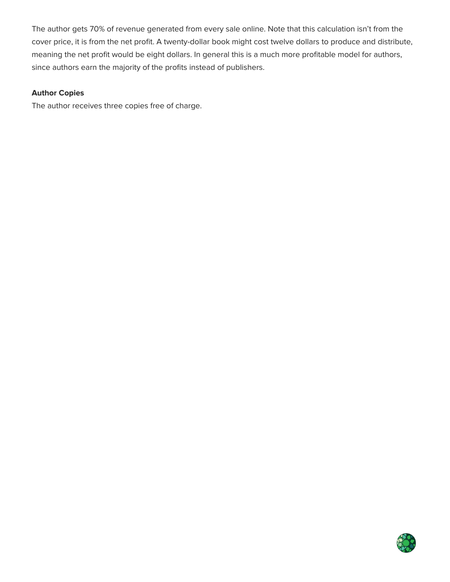The author gets 70% of revenue generated from every sale online. Note that this calculation isn't from the cover price, it is from the net profit. A twenty-dollar book might cost twelve dollars to produce and distribute, meaning the net profit would be eight dollars. In general this is a much more profitable model for authors, since authors earn the majority of the profits instead of publishers.

#### **Author Copies**

The author receives three copies free of charge.

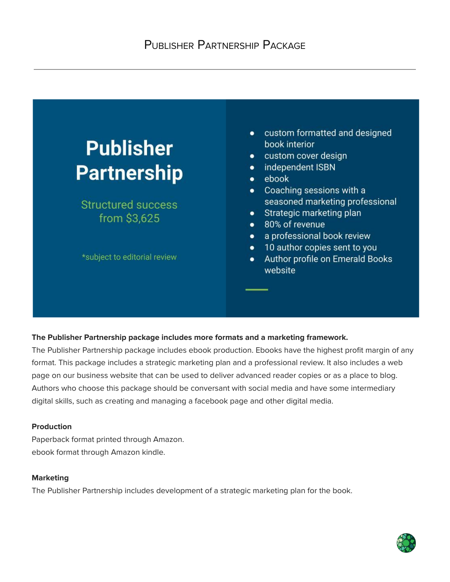

#### **The Publisher Partnership package includes more formats and a marketing framework.**

The Publisher Partnership package includes ebook production. Ebooks have the highest profit margin of any format. This package includes a strategic marketing plan and a professional review. It also includes a web page on our business website that can be used to deliver advanced reader copies or as a place to blog. Authors who choose this package should be conversant with social media and have some intermediary digital skills, such as creating and managing a facebook page and other digital media.

#### **Production**

Paperback format printed through Amazon. ebook format through Amazon kindle.

#### **Marketing**

The Publisher Partnership includes development of a strategic marketing plan for the book.

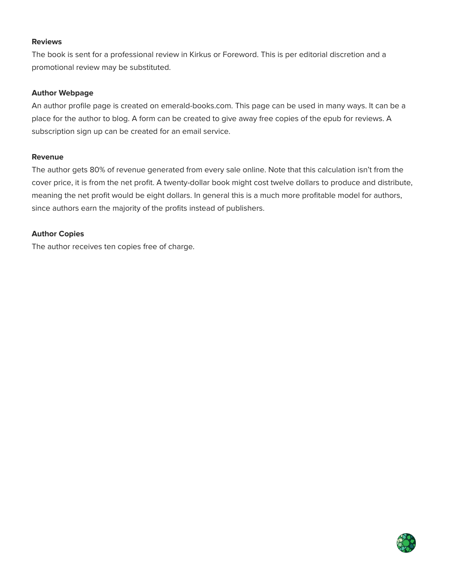#### **Reviews**

The book is sent for a professional review in Kirkus or Foreword. This is per editorial discretion and a promotional review may be substituted.

#### **Author Webpage**

An author profile page is created on emerald-books.com. This page can be used in many ways. It can be a place for the author to blog. A form can be created to give away free copies of the epub for reviews. A subscription sign up can be created for an email service.

#### **Revenue**

The author gets 80% of revenue generated from every sale online. Note that this calculation isn't from the cover price, it is from the net profit. A twenty-dollar book might cost twelve dollars to produce and distribute, meaning the net profit would be eight dollars. In general this is a much more profitable model for authors, since authors earn the majority of the profits instead of publishers.

#### **Author Copies**

The author receives ten copies free of charge.

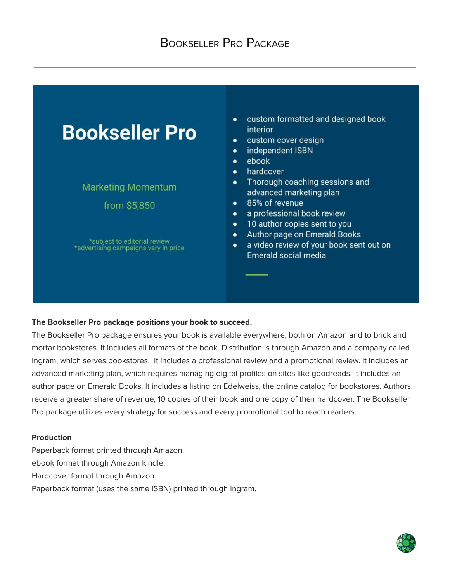

#### **The Bookseller Pro package positions your book to succeed.**

The Bookseller Pro package ensures your book is available everywhere, both on Amazon and to brick and mortar bookstores. It includes all formats of the book. Distribution is through Amazon and a company called Ingram, which serves bookstores. It includes a professional review and a promotional review. It includes an advanced marketing plan, which requires managing digital profiles on sites like goodreads. It includes an author page on Emerald Books. It includes a listing on Edelweiss, the online catalog for bookstores. Authors receive a greater share of revenue, 10 copies of their book and one copy of their hardcover. The Bookseller Pro package utilizes every strategy for success and every promotional tool to reach readers.

#### **Production**

Paperback format printed through Amazon. ebook format through Amazon kindle. Hardcover format through Amazon. Paperback format (uses the same ISBN) printed through Ingram.